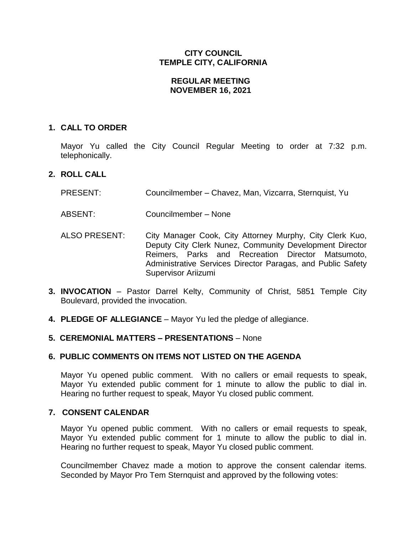# **CITY COUNCIL TEMPLE CITY, CALIFORNIA**

### **REGULAR MEETING NOVEMBER 16, 2021**

#### **1. CALL TO ORDER**

Mayor Yu called the City Council Regular Meeting to order at 7:32 p.m. telephonically.

#### **2. ROLL CALL**

- PRESENT: Councilmember Chavez, Man, Vizcarra, Sternquist, Yu
- ABSENT: Councilmember None
- ALSO PRESENT: City Manager Cook, City Attorney Murphy, City Clerk Kuo, Deputy City Clerk Nunez, Community Development Director Reimers, Parks and Recreation Director Matsumoto, Administrative Services Director Paragas, and Public Safety Supervisor Ariizumi
- **3. INVOCATION** Pastor Darrel Kelty, Community of Christ, 5851 Temple City Boulevard, provided the invocation.
- **4. PLEDGE OF ALLEGIANCE** Mayor Yu led the pledge of allegiance.

### **5. CEREMONIAL MATTERS – PRESENTATIONS** – None

#### **6. PUBLIC COMMENTS ON ITEMS NOT LISTED ON THE AGENDA**

Mayor Yu opened public comment. With no callers or email requests to speak, Mayor Yu extended public comment for 1 minute to allow the public to dial in. Hearing no further request to speak, Mayor Yu closed public comment.

### **7. CONSENT CALENDAR**

Mayor Yu opened public comment. With no callers or email requests to speak, Mayor Yu extended public comment for 1 minute to allow the public to dial in. Hearing no further request to speak, Mayor Yu closed public comment.

Councilmember Chavez made a motion to approve the consent calendar items. Seconded by Mayor Pro Tem Sternquist and approved by the following votes: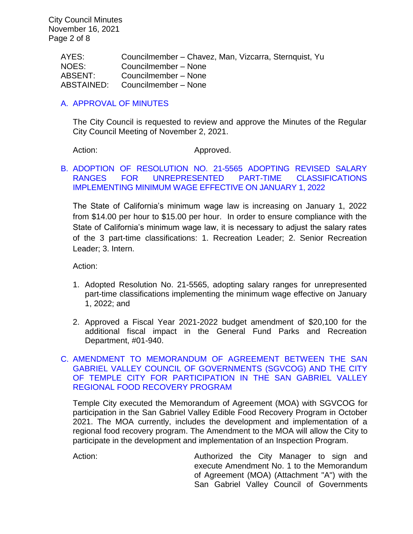City Council Minutes November 16, 2021 Page 2 of 8

> AYES: Councilmember – Chavez, Man, Vizcarra, Sternquist, Yu NOES: Councilmember – None ABSENT: Councilmember – None ABSTAINED: Councilmember – None

### [A. APPROVAL OF MINUTES](https://www.ci.temple-city.ca.us/DocumentCenter/View/16984/01-7A_CCM---2021-11-02)

The City Council is requested to review and approve the Minutes of the Regular City Council Meeting of November 2, 2021.

Action: Approved.

### B. [ADOPTION OF RESOLUTION NO. 21-5565 ADOPTING REVISED SALARY](https://www.ci.temple-city.ca.us/DocumentCenter/View/16985/02-7B_Minimum-Wage_Staff-Report_v2-w-attachment)  [RANGES FOR UNREPRESENTED PART-TIME CLASSIFICATIONS](https://www.ci.temple-city.ca.us/DocumentCenter/View/16985/02-7B_Minimum-Wage_Staff-Report_v2-w-attachment)  [IMPLEMENTING MINIMUM WAGE EFFECTIVE ON JANUARY 1, 2022](https://www.ci.temple-city.ca.us/DocumentCenter/View/16985/02-7B_Minimum-Wage_Staff-Report_v2-w-attachment)

The State of California's minimum wage law is increasing on January 1, 2022 from \$14.00 per hour to \$15.00 per hour. In order to ensure compliance with the State of California's minimum wage law, it is necessary to adjust the salary rates of the 3 part-time classifications: 1. Recreation Leader; 2. Senior Recreation Leader; 3. Intern.

Action:

- 1. Adopted Resolution No. 21-5565, adopting salary ranges for unrepresented part-time classifications implementing the minimum wage effective on January 1, 2022; and
- 2. Approved a Fiscal Year 2021-2022 budget amendment of \$20,100 for the additional fiscal impact in the General Fund Parks and Recreation Department, #01-940.

### C. [AMENDMENT TO MEMORANDUM OF AGREEMENT BETWEEN THE SAN](https://www.ci.temple-city.ca.us/DocumentCenter/View/16986/03-7C_Amend-Food-Recovery-Program-Staff-Report-)  [GABRIEL VALLEY COUNCIL OF GOVERNMENTS \(SGVCOG\) AND THE CITY](https://www.ci.temple-city.ca.us/DocumentCenter/View/16986/03-7C_Amend-Food-Recovery-Program-Staff-Report-)  [OF TEMPLE CITY FOR PARTICIPATION IN THE SAN GABRIEL VALLEY](https://www.ci.temple-city.ca.us/DocumentCenter/View/16986/03-7C_Amend-Food-Recovery-Program-Staff-Report-)  [REGIONAL FOOD RECOVERY PROGRAM](https://www.ci.temple-city.ca.us/DocumentCenter/View/16986/03-7C_Amend-Food-Recovery-Program-Staff-Report-)

Temple City executed the Memorandum of Agreement (MOA) with SGVCOG for participation in the San Gabriel Valley Edible Food Recovery Program in October 2021. The MOA currently, includes the development and implementation of a regional food recovery program. The Amendment to the MOA will allow the City to participate in the development and implementation of an Inspection Program.

Action: Authorized the City Manager to sign and execute Amendment No. 1 to the Memorandum of Agreement (MOA) (Attachment "A") with the San Gabriel Valley Council of Governments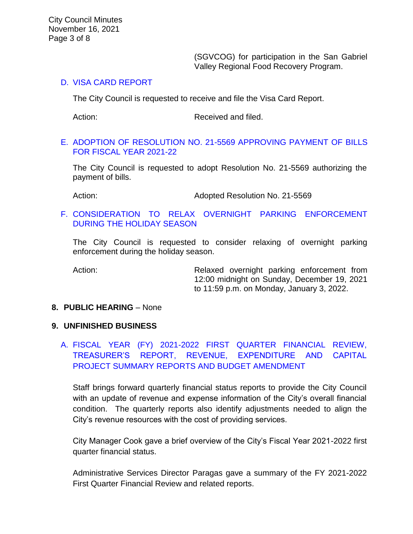(SGVCOG) for participation in the San Gabriel Valley Regional Food Recovery Program.

### D. [VISA CARD REPORT](https://www.ci.temple-city.ca.us/DocumentCenter/View/16987/04-7D_Visa-Card-Report-11-16-21)

The City Council is requested to receive and file the Visa Card Report.

Action: Received and filed.

### E. [ADOPTION OF RESOLUTION NO. 21-5569 APPROVING PAYMENT OF BILLS](https://www.ci.temple-city.ca.us/DocumentCenter/View/16988/05-7E_CC-Warrant_Reso-No-21-5569-w-attachment)  [FOR FISCAL YEAR 2021-22](https://www.ci.temple-city.ca.us/DocumentCenter/View/16988/05-7E_CC-Warrant_Reso-No-21-5569-w-attachment)

The City Council is requested to adopt Resolution No. 21-5569 authorizing the payment of bills.

Action: Adopted Resolution No. 21-5569

# F. [CONSIDERATION TO RELAX OVERNIGHT PARKING ENFORCEMENT](https://www.ci.temple-city.ca.us/DocumentCenter/View/17008/07-7F_2021-11-16-Relaxed-Overnight-Parking-Enforcement_Staff-Report)  [DURING THE HOLIDAY SEASON](https://www.ci.temple-city.ca.us/DocumentCenter/View/17008/07-7F_2021-11-16-Relaxed-Overnight-Parking-Enforcement_Staff-Report)

The City Council is requested to consider relaxing of overnight parking enforcement during the holiday season.

Action: Relaxed overnight parking enforcement from 12:00 midnight on Sunday, December 19, 2021 to 11:59 p.m. on Monday, January 3, 2022.

### **8. PUBLIC HEARING** – None

### **9. UNFINISHED BUSINESS**

A. [FISCAL YEAR \(FY\) 2021-2022 FIRST QUARTER FINANCIAL REVIEW,](https://www.ci.temple-city.ca.us/DocumentCenter/View/16989/07-9A_First-Qtr-Financial-Status-Review-FY2122_v2-w-attachments)  [TREASURER'S REPORT, REVENUE, EXPENDITURE AND CAPITAL](https://www.ci.temple-city.ca.us/DocumentCenter/View/16989/07-9A_First-Qtr-Financial-Status-Review-FY2122_v2-w-attachments)  [PROJECT SUMMARY REPORTS AND BUDGET AMENDMENT](https://www.ci.temple-city.ca.us/DocumentCenter/View/16989/07-9A_First-Qtr-Financial-Status-Review-FY2122_v2-w-attachments)

Staff brings forward quarterly financial status reports to provide the City Council with an update of revenue and expense information of the City's overall financial condition. The quarterly reports also identify adjustments needed to align the City's revenue resources with the cost of providing services.

City Manager Cook gave a brief overview of the City's Fiscal Year 2021-2022 first quarter financial status.

Administrative Services Director Paragas gave a summary of the FY 2021-2022 First Quarter Financial Review and related reports.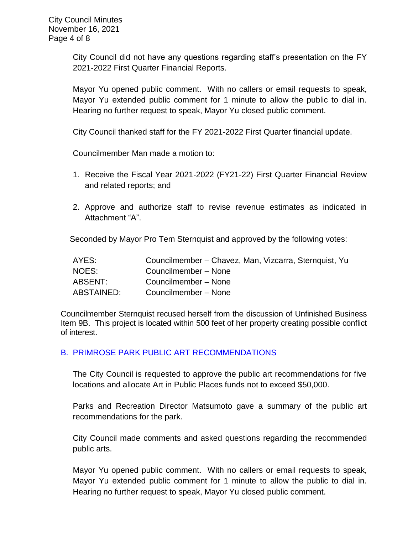City Council did not have any questions regarding staff's presentation on the FY 2021-2022 First Quarter Financial Reports.

Mayor Yu opened public comment. With no callers or email requests to speak, Mayor Yu extended public comment for 1 minute to allow the public to dial in. Hearing no further request to speak, Mayor Yu closed public comment.

City Council thanked staff for the FY 2021-2022 First Quarter financial update.

Councilmember Man made a motion to:

- 1. Receive the Fiscal Year 2021-2022 (FY21-22) First Quarter Financial Review and related reports; and
- 2. Approve and authorize staff to revise revenue estimates as indicated in Attachment "A".

Seconded by Mayor Pro Tem Sternquist and approved by the following votes:

| AYES:      | Councilmember – Chavez, Man, Vizcarra, Sternquist, Yu |
|------------|-------------------------------------------------------|
| NOES:      | Councilmember - None                                  |
| ABSENT:    | Councilmember - None                                  |
| ABSTAINED: | Councilmember - None                                  |

Councilmember Sternquist recused herself from the discussion of Unfinished Business Item 9B. This project is located within 500 feet of her property creating possible conflict of interest.

# B. [PRIMROSE PARK PUBLIC ART RECOMMENDATIONS](https://www.ci.temple-city.ca.us/DocumentCenter/View/16999/08-9B_Primrose-Park-Public-Art-Recommendation-Staff-Report-2021-11-16_v2-w-attachment)

The City Council is requested to approve the public art recommendations for five locations and allocate Art in Public Places funds not to exceed \$50,000.

Parks and Recreation Director Matsumoto gave a summary of the public art recommendations for the park.

City Council made comments and asked questions regarding the recommended public arts.

Mayor Yu opened public comment. With no callers or email requests to speak, Mayor Yu extended public comment for 1 minute to allow the public to dial in. Hearing no further request to speak, Mayor Yu closed public comment.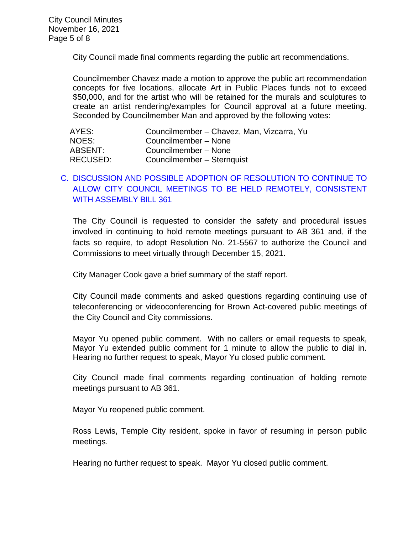City Council made final comments regarding the public art recommendations.

Councilmember Chavez made a motion to approve the public art recommendation concepts for five locations, allocate Art in Public Places funds not to exceed \$50,000, and for the artist who will be retained for the murals and sculptures to create an artist rendering/examples for Council approval at a future meeting. Seconded by Councilmember Man and approved by the following votes:

| AYES:           | Councilmember - Chavez, Man, Vizcarra, Yu |
|-----------------|-------------------------------------------|
| NOES:           | Councilmember - None                      |
| ABSENT:         | Councilmember - None                      |
| <b>RECUSED:</b> | Councilmember - Sternquist                |

# C. [DISCUSSION AND POSSIBLE ADOPTION OF RESOLUTION TO CONTINUE TO](https://www.ci.temple-city.ca.us/DocumentCenter/View/16990/09-9C_Remote-Meeting_Staff-Report_v2-GM-final-w-attachments)  [ALLOW CITY COUNCIL MEETINGS TO BE HELD REMOTELY, CONSISTENT](https://www.ci.temple-city.ca.us/DocumentCenter/View/16990/09-9C_Remote-Meeting_Staff-Report_v2-GM-final-w-attachments)  [WITH ASSEMBLY BILL 361](https://www.ci.temple-city.ca.us/DocumentCenter/View/16990/09-9C_Remote-Meeting_Staff-Report_v2-GM-final-w-attachments)

The City Council is requested to consider the safety and procedural issues involved in continuing to hold remote meetings pursuant to AB 361 and, if the facts so require, to adopt Resolution No. 21-5567 to authorize the Council and Commissions to meet virtually through December 15, 2021.

City Manager Cook gave a brief summary of the staff report.

City Council made comments and asked questions regarding continuing use of teleconferencing or videoconferencing for Brown Act-covered public meetings of the City Council and City commissions.

Mayor Yu opened public comment. With no callers or email requests to speak, Mayor Yu extended public comment for 1 minute to allow the public to dial in. Hearing no further request to speak, Mayor Yu closed public comment.

City Council made final comments regarding continuation of holding remote meetings pursuant to AB 361.

Mayor Yu reopened public comment.

Ross Lewis, Temple City resident, spoke in favor of resuming in person public meetings.

Hearing no further request to speak. Mayor Yu closed public comment.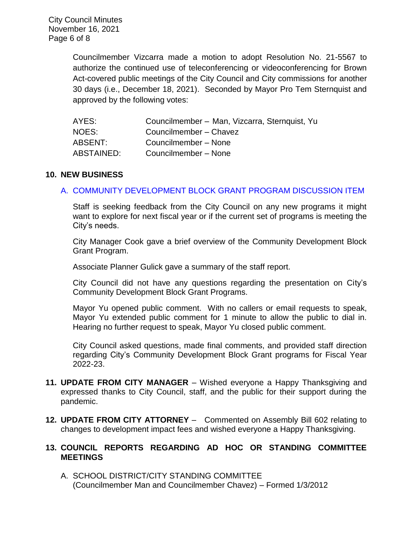Councilmember Vizcarra made a motion to adopt Resolution No. 21-5567 to authorize the continued use of teleconferencing or videoconferencing for Brown Act-covered public meetings of the City Council and City commissions for another 30 days (i.e., December 18, 2021). Seconded by Mayor Pro Tem Sternquist and approved by the following votes:

| AYES:      | Councilmember - Man, Vizcarra, Sternquist, Yu |
|------------|-----------------------------------------------|
| NOES:      | Councilmember - Chavez                        |
| ABSENT:    | Councilmember - None                          |
| ABSTAINED: | Councilmember - None                          |

#### **10. NEW BUSINESS**

#### A. [COMMUNITY DEVELOPMENT BLOCK GRANT PROGRAM DISCUSSION ITEM](https://www.ci.temple-city.ca.us/DocumentCenter/View/16991/10-10A_CDBG-Discussion--sr-ag-edits_v6-w-attachments)

Staff is seeking feedback from the City Council on any new programs it might want to explore for next fiscal year or if the current set of programs is meeting the City's needs.

City Manager Cook gave a brief overview of the Community Development Block Grant Program.

Associate Planner Gulick gave a summary of the staff report.

City Council did not have any questions regarding the presentation on City's Community Development Block Grant Programs.

Mayor Yu opened public comment. With no callers or email requests to speak, Mayor Yu extended public comment for 1 minute to allow the public to dial in. Hearing no further request to speak, Mayor Yu closed public comment.

City Council asked questions, made final comments, and provided staff direction regarding City's Community Development Block Grant programs for Fiscal Year 2022-23.

- **11. UPDATE FROM CITY MANAGER** Wished everyone a Happy Thanksgiving and expressed thanks to City Council, staff, and the public for their support during the pandemic.
- **12. UPDATE FROM CITY ATTORNEY**  Commented on Assembly Bill 602 relating to changes to development impact fees and wished everyone a Happy Thanksgiving.

### **13. COUNCIL REPORTS REGARDING AD HOC OR STANDING COMMITTEE MEETINGS**

A. SCHOOL DISTRICT/CITY STANDING COMMITTEE (Councilmember Man and Councilmember Chavez) – Formed 1/3/2012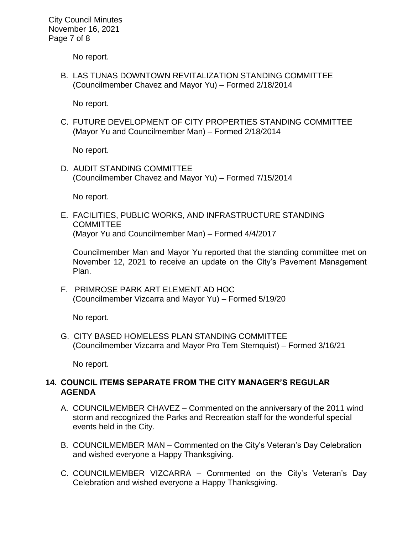City Council Minutes November 16, 2021 Page 7 of 8

No report.

B. LAS TUNAS DOWNTOWN REVITALIZATION STANDING COMMITTEE (Councilmember Chavez and Mayor Yu) – Formed 2/18/2014

No report.

C. FUTURE DEVELOPMENT OF CITY PROPERTIES STANDING COMMITTEE (Mayor Yu and Councilmember Man) – Formed 2/18/2014

No report.

D. AUDIT STANDING COMMITTEE (Councilmember Chavez and Mayor Yu) – Formed 7/15/2014

No report.

E. FACILITIES, PUBLIC WORKS, AND INFRASTRUCTURE STANDING COMMITTEE (Mayor Yu and Councilmember Man) – Formed 4/4/2017

Councilmember Man and Mayor Yu reported that the standing committee met on November 12, 2021 to receive an update on the City's Pavement Management Plan.

F. PRIMROSE PARK ART ELEMENT AD HOC (Councilmember Vizcarra and Mayor Yu) – Formed 5/19/20

No report.

G. CITY BASED HOMELESS PLAN STANDING COMMITTEE (Councilmember Vizcarra and Mayor Pro Tem Sternquist) – Formed 3/16/21

No report.

# **14. COUNCIL ITEMS SEPARATE FROM THE CITY MANAGER'S REGULAR AGENDA**

- A. COUNCILMEMBER CHAVEZ Commented on the anniversary of the 2011 wind storm and recognized the Parks and Recreation staff for the wonderful special events held in the City.
- B. COUNCILMEMBER MAN Commented on the City's Veteran's Day Celebration and wished everyone a Happy Thanksgiving.
- C. COUNCILMEMBER VIZCARRA Commented on the City's Veteran's Day Celebration and wished everyone a Happy Thanksgiving.